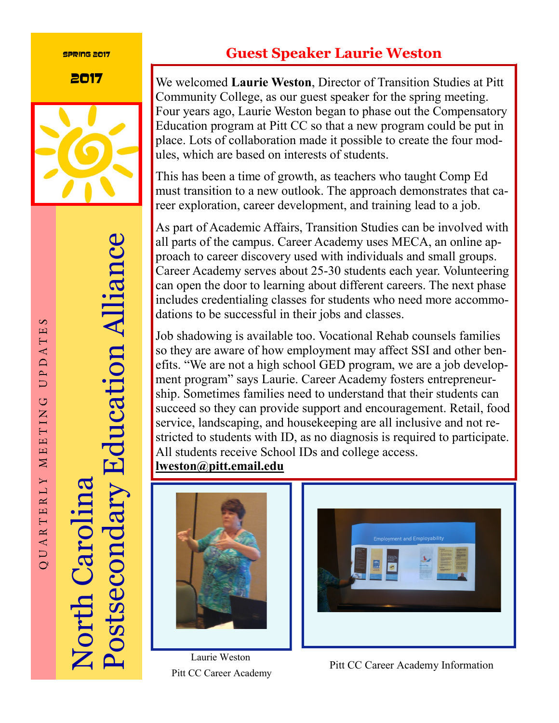#### Spring 2017



Postsecondary Education Alliance Postsecondary Education Alliance North Carolina **Jorth Caroli** 

## **Guest Speaker Laurie Weston**

**2017** We welcomed Laurie Weston, Director of Transition Studies at Pitt Community College, as our guest speaker for the spring meeting. Four years ago, Laurie Weston began to phase out the Compensatory Education program at Pitt CC so that a new program could be put in place. Lots of collaboration made it possible to create the four modules, which are based on interests of students.

> This has been a time of growth, as teachers who taught Comp Ed must transition to a new outlook. The approach demonstrates that career exploration, career development, and training lead to a job.

> As part of Academic Affairs, Transition Studies can be involved with all parts of the campus. Career Academy uses MECA, an online approach to career discovery used with individuals and small groups. Career Academy serves about 25-30 students each year. Volunteering can open the door to learning about different careers. The next phase includes credentialing classes for students who need more accommodations to be successful in their jobs and classes.

> Job shadowing is available too. Vocational Rehab counsels families so they are aware of how employment may affect SSI and other benefits. "We are not a high school GED program, we are a job development program" says Laurie. Career Academy fosters entrepreneurship. Sometimes families need to understand that their students can succeed so they can provide support and encouragement. Retail, food service, landscaping, and housekeeping are all inclusive and not restricted to students with ID, as no diagnosis is required to participate. All students receive School IDs and college access. **lweston@pitt.email.edu**





Laurie Weston Pitt CC Career Academy

Pitt CC Career Academy Information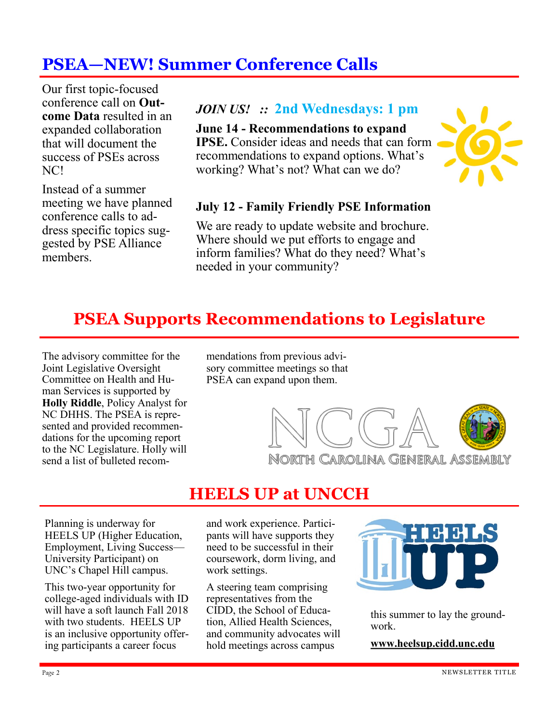## **PSEA—NEW! Summer Conference Calls**

Our first topic-focused conference call on **Outcome Data** resulted in an expanded collaboration that will document the success of PSEs across NC!

Instead of a summer meeting we have planned conference calls to address specific topics suggested by PSE Alliance members.

### *JOIN US! ::* **2nd Wednesdays: 1 pm**

**June 14 - Recommendations to expand IPSE.** Consider ideas and needs that can form recommendations to expand options. What's working? What's not? What can we do?



#### **July 12 - Family Friendly PSE Information**

We are ready to update website and brochure. Where should we put efforts to engage and inform families? What do they need? What's needed in your community?

### **PSEA Supports Recommendations to Legislature**

The advisory committee for the Joint Legislative Oversight Committee on Health and Human Services is supported by **Holly Riddle**, Policy Analyst for NC DHHS. The PSEA is represented and provided recommendations for the upcoming report to the NC Legislature. Holly will send a list of bulleted recommendations from previous advisory committee meetings so that PSEA can expand upon them.



### **HEELS UP at UNCCH**

Planning is underway for HEELS UP (Higher Education, Employment, Living Success— University Participant) on UNC's Chapel Hill campus.

This two-year opportunity for college-aged individuals with ID will have a soft launch Fall 2018 with two students. HEELS UP is an inclusive opportunity offering participants a career focus

and work experience. Participants will have supports they need to be successful in their coursework, dorm living, and work settings.

A steering team comprising representatives from the CIDD, the School of Education, Allied Health Sciences, and community advocates will hold meetings across campus



this summer to lay the groundwork.

**www.heelsup.cidd.unc.edu**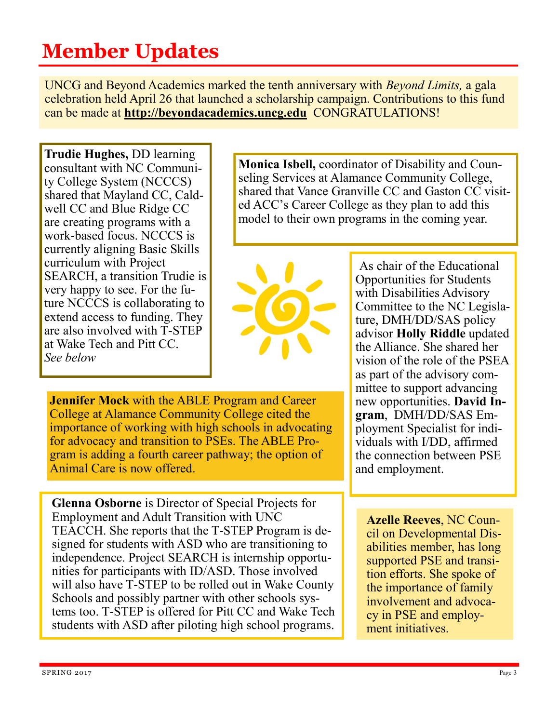## **Member Updates**

UNCG and Beyond Academics marked the tenth anniversary with *Beyond Limits,* a gala celebration held April 26 that launched a scholarship campaign. Contributions to this fund can be made at **http://beyondacademics.uncg.edu** CONGRATULATIONS!

**Trudie Hughes,** DD learning consultant with NC Community College System (NCCCS) shared that Mayland CC, Caldwell CC and Blue Ridge CC are creating programs with a work-based focus. NCCCS is currently aligning Basic Skills curriculum with Project SEARCH, a transition Trudie is very happy to see. For the future NCCCS is collaborating to extend access to funding. They are also involved with T-STEP at Wake Tech and Pitt CC. *See below*

**Monica Isbell,** coordinator of Disability and Counseling Services at Alamance Community College, shared that Vance Granville CC and Gaston CC visited ACC's Career College as they plan to add this model to their own programs in the coming year.



**Jennifer Mock** with the ABLE Program and Career College at Alamance Community College cited the importance of working with high schools in advocating for advocacy and transition to PSEs. The ABLE Program is adding a fourth career pathway; the option of Animal Care is now offered.

**Glenna Osborne** is Director of Special Projects for Employment and Adult Transition with UNC TEACCH. She reports that the T-STEP Program is designed for students with ASD who are transitioning to independence. Project SEARCH is internship opportunities for participants with ID/ASD. Those involved will also have T-STEP to be rolled out in Wake County Schools and possibly partner with other schools systems too. T-STEP is offered for Pitt CC and Wake Tech students with ASD after piloting high school programs.

As chair of the Educational Opportunities for Students with Disabilities Advisory Committee to the NC Legislature, DMH/DD/SAS policy advisor **Holly Riddle** updated the Alliance. She shared her vision of the role of the PSEA as part of the advisory committee to support advancing new opportunities. **David Ingram**, DMH/DD/SAS Employment Specialist for individuals with I/DD, affirmed the connection between PSE and employment.

**Azelle Reeves**, NC Council on Developmental Disabilities member, has long supported PSE and transition efforts. She spoke of the importance of family involvement and advocacy in PSE and employment initiatives.